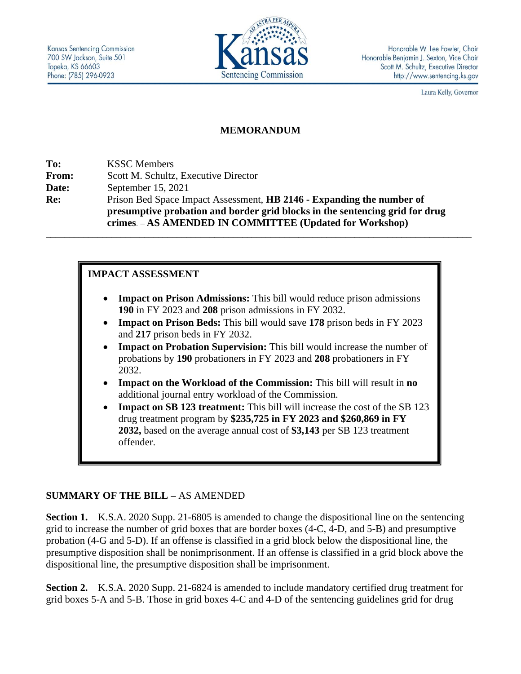

Laura Kelly, Governor

### **MEMORANDUM**

**To:** KSSC Members **From:** Scott M. Schultz, Executive Director **Date:** September 15, 2021 **Re:** Prison Bed Space Impact Assessment, **HB 2146 - Expanding the number of presumptive probation and border grid blocks in the sentencing grid for drug crimes**. – **AS AMENDED IN COMMITTEE (Updated for Workshop)**

## **IMPACT ASSESSMENT**

• **Impact on Prison Admissions:** This bill would reduce prison admissions **190** in FY 2023 and **208** prison admissions in FY 2032.

**\_\_\_\_\_\_\_\_\_\_\_\_\_\_\_\_\_\_\_\_\_\_\_\_\_\_\_\_\_\_\_\_\_\_\_\_\_\_\_\_\_\_\_\_\_\_\_\_\_\_\_\_\_\_\_\_\_\_\_\_\_\_\_\_\_\_\_\_\_\_\_\_\_\_\_\_\_\_\_\_\_\_\_\_\_\_\_\_\_\_\_**

- **Impact on Prison Beds:** This bill would save **178** prison beds in FY 2023 and **217** prison beds in FY 2032.
- **Impact on Probation Supervision:** This bill would increase the number of probations by **190** probationers in FY 2023 and **208** probationers in FY 2032.
- **Impact on the Workload of the Commission:** This bill will result in **no** additional journal entry workload of the Commission.
- **Impact on SB 123 treatment:** This bill will increase the cost of the SB 123 drug treatment program by **\$235,725 in FY 2023 and \$260,869 in FY 2032,** based on the average annual cost of **\$3,143** per SB 123 treatment offender.

## **SUMMARY OF THE BILL –** AS AMENDED

**Section 1.** K.S.A. 2020 Supp. 21-6805 is amended to change the dispositional line on the sentencing grid to increase the number of grid boxes that are border boxes (4-C, 4-D, and 5-B) and presumptive probation (4-G and 5-D). If an offense is classified in a grid block below the dispositional line, the presumptive disposition shall be nonimprisonment. If an offense is classified in a grid block above the dispositional line, the presumptive disposition shall be imprisonment.

**Section 2.** K.S.A. 2020 Supp. 21-6824 is amended to include mandatory certified drug treatment for grid boxes 5-A and 5-B. Those in grid boxes 4-C and 4-D of the sentencing guidelines grid for drug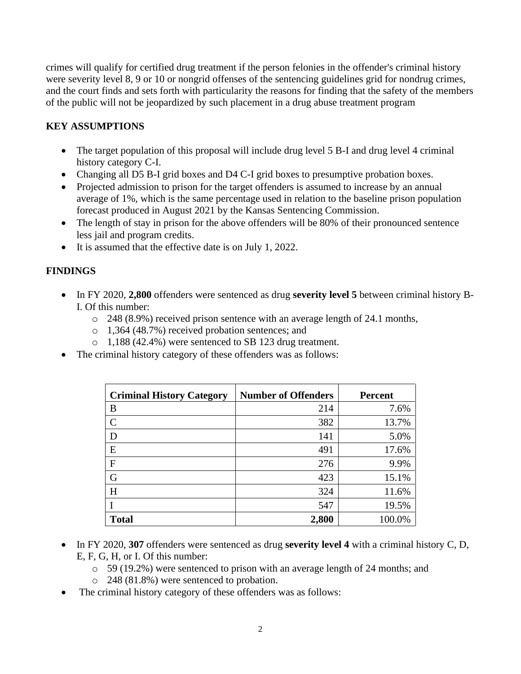crimes will qualify for certified drug treatment if the person felonies in the offender's criminal history were severity level 8, 9 or 10 or nongrid offenses of the sentencing guidelines grid for nondrug crimes, and the court finds and sets forth with particularity the reasons for finding that the safety of the members of the public will not be jeopardized by such placement in a drug abuse treatment program

# **KEY ASSUMPTIONS**

- The target population of this proposal will include drug level 5 B-I and drug level 4 criminal history category C-I.
- Changing all D5 B-I grid boxes and D4 C-I grid boxes to presumptive probation boxes.
- Projected admission to prison for the target offenders is assumed to increase by an annual average of 1%, which is the same percentage used in relation to the baseline prison population forecast produced in August 2021 by the Kansas Sentencing Commission.
- The length of stay in prison for the above offenders will be 80% of their pronounced sentence less jail and program credits.
- It is assumed that the effective date is on July 1, 2022.

# **FINDINGS**

- In FY 2020, **2,800** offenders were sentenced as drug **severity level 5** between criminal history B-I. Of this number:
	- o 248 (8.9%) received prison sentence with an average length of 24.1 months,
	- o 1,364 (48.7%) received probation sentences; and
	- o 1,188 (42.4%) were sentenced to SB 123 drug treatment.
- The criminal history category of these offenders was as follows:

| <b>Criminal History Category</b> | <b>Number of Offenders</b> | <b>Percent</b> |
|----------------------------------|----------------------------|----------------|
| B                                | 214                        | 7.6%           |
| $\mathcal{C}$                    | 382                        | 13.7%          |
| D                                | 141                        | 5.0%           |
| E                                | 491                        | 17.6%          |
| F                                | 276                        | 9.9%           |
| G                                | 423                        | 15.1%          |
| H                                | 324                        | 11.6%          |
|                                  | 547                        | 19.5%          |
| <b>Total</b>                     | 2,800                      | 100.0%         |

- In FY 2020, **307** offenders were sentenced as drug **severity level 4** with a criminal history C, D, E, F, G, H, or I. Of this number:
	- o 59 (19.2%) were sentenced to prison with an average length of 24 months; and
	- o 248 (81.8%) were sentenced to probation.
- The criminal history category of these offenders was as follows: